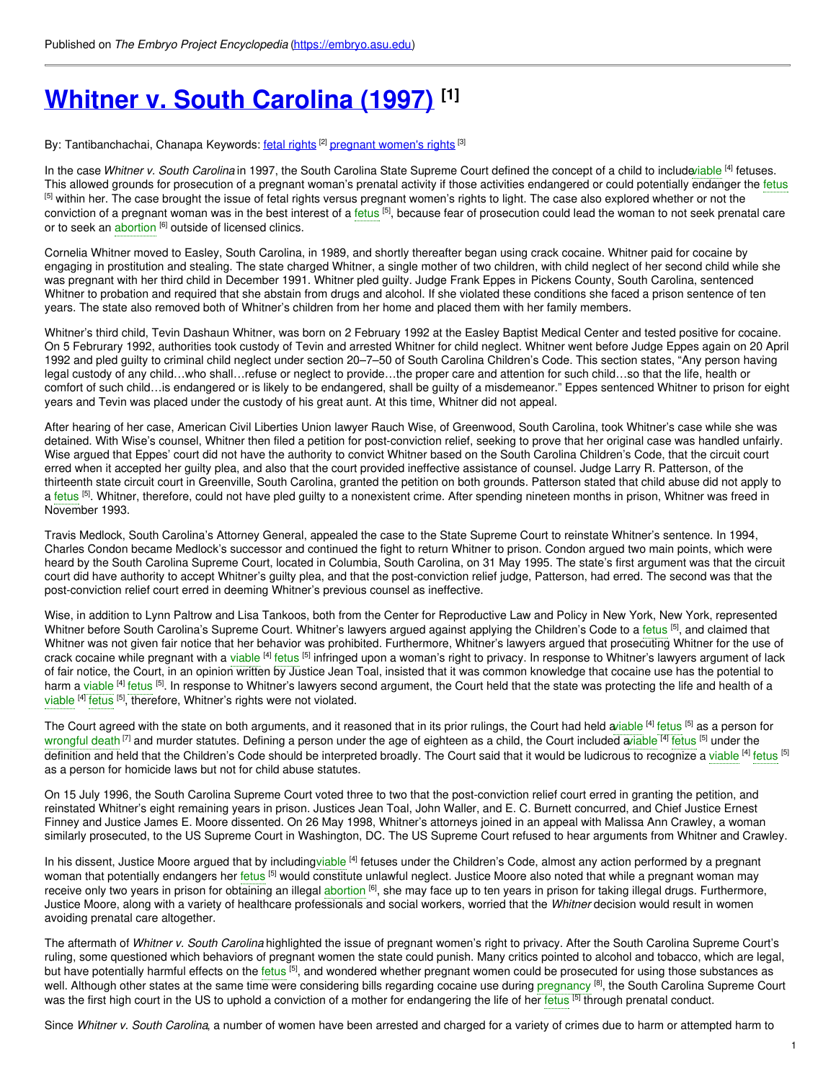# **Whitner v. South [Carolina](https://embryo.asu.edu/pages/whitner-v-south-carolina-1997) (1997) [1]**

By: Tantibanchachai, Chanapa Keywords: <u>fetal [rights](https://embryo.asu.edu/keywords/fetal-rights)</u> <sup>[2]</sup> p<u>regnant women's rights</u> [<sup>3]</sup>

In the case Whitner v. South Carolina in 1997, the South Carolina State Supreme Court defined the concept of a child to includ[eviable](https://embryo.asu.edu/search?text=viable) <sup>[4]</sup> fetuses. This allowed grounds for prosecution of a pregnant woman's prenatal activity if those activities endangered or could potentially endanger the [fetus](https://embryo.asu.edu/search?text=fetus) <sup>[5]</sup> within her. The case brought the issue of fetal rights versus pregnant women's rights to light. The case also explored whether or not the conviction of a pregnant woman was in the best interest of a [fetus](https://embryo.asu.edu/search?text=fetus) <sup>[5]</sup>, because fear of prosecution could lead the woman to not seek prenatal care or to seek an [abortion](https://embryo.asu.edu/search?text=abortion) [6] outside of licensed clinics.

Cornelia Whitner moved to Easley, South Carolina, in 1989, and shortly thereafter began using crack cocaine. Whitner paid for cocaine by engaging in prostitution and stealing. The state charged Whitner, a single mother of two children, with child neglect of her second child while she was pregnant with her third child in December 1991. Whitner pled guilty. Judge Frank Eppes in Pickens County, South Carolina, sentenced Whitner to probation and required that she abstain from drugs and alcohol. If she violated these conditions she faced a prison sentence of ten years. The state also removed both of Whitner's children from her home and placed them with her family members.

Whitner's third child, Tevin Dashaun Whitner, was born on 2 February 1992 at the Easley Baptist Medical Center and tested positive for cocaine. On 5 Februrary 1992, authorities took custody of Tevin and arrested Whitner for child neglect. Whitner went before Judge Eppes again on 20 April 1992 and pled guilty to criminal child neglect under section 20–7–50 of South Carolina Children's Code. This section states, "Any person having legal custody of any child…who shall…refuse or neglect to provide…the proper care and attention for such child…so that the life, health or comfort of such child…is endangered or is likely to be endangered, shall be guilty of a misdemeanor." Eppes sentenced Whitner to prison for eight years and Tevin was placed under the custody of his great aunt. At this time, Whitner did not appeal.

After hearing of her case, American Civil Liberties Union lawyer Rauch Wise, of Greenwood, South Carolina, took Whitner's case while she was detained. With Wise's counsel, Whitner then filed a petition for post-conviction relief, seeking to prove that her original case was handled unfairly. Wise argued that Eppes' court did not have the authority to convict Whitner based on the South Carolina Children's Code, that the circuit court erred when it accepted her guilty plea, and also that the court provided ineffective assistance of counsel. Judge Larry R. Patterson, of the thirteenth state circuit court in Greenville, South Carolina, granted the petition on both grounds. Patterson stated that child abuse did not apply to a [fetus](https://embryo.asu.edu/search?text=fetus) <sup>[5]</sup>. Whitner, therefore, could not have pled guilty to a nonexistent crime. After spending nineteen months in prison, Whitner was freed in November 1993.

Travis Medlock, South Carolina's Attorney General, appealed the case to the State Supreme Court to reinstate Whitner's sentence. In 1994, Charles Condon became Medlock's successor and continued the fight to return Whitner to prison. Condon argued two main points, which were heard by the South Carolina Supreme Court, located in Columbia, South Carolina, on 31 May 1995. The state's first argument was that the circuit court did have authority to accept Whitner's guilty plea, and that the post-conviction relief judge, Patterson, had erred. The second was that the post-conviction relief court erred in deeming Whitner's previous counsel as ineffective.

Wise, in addition to Lynn Paltrow and Lisa Tankoos, both from the Center for Reproductive Law and Policy in New York, New York, represented Whitner before South Carolina's Supreme Court. Whitner's lawyers argued against applying the Children's Code to a [fetus](https://embryo.asu.edu/search?text=fetus) <sup>[5]</sup>, and claimed that Whitner was not given fair notice that her behavior was prohibited. Furthermore, Whitner's lawyers argued that prosecuting Whitner for the use of crack cocaine while pregnant with a [viable](https://embryo.asu.edu/search?text=viable) <sup>[4]</sup> [fetus](https://embryo.asu.edu/search?text=fetus) <sup>[5]</sup> infringed upon a woman's right to privacy. In response to Whitner's lawyers argument of lack of fair notice, the Court, in an opinion written by Justice Jean Toal, insisted that it was common knowledge that cocaine use has the potential to harm a [viable](https://embryo.asu.edu/search?text=viable) <sup>[4]</sup> [fetus](https://embryo.asu.edu/search?text=fetus) <sup>[5]</sup>. In response to Whitner's lawyers second argument, the Court held that the state was protecting the life and health of a [viable](https://embryo.asu.edu/search?text=viable) <sup>[4]</sup> [fetus](https://embryo.asu.edu/search?text=fetus) <sup>[5]</sup>, therefore, Whitner's rights were not violated.

The Court agreed with the state on both arguments, and it reasoned that in its prior rulings, the Court had held [aviable](https://embryo.asu.edu/search?text=viable) <sup>[4]</sup> [fetus](https://embryo.asu.edu/search?text=fetus) <sup>[5]</sup> as a person for [wrongful](https://embryo.asu.edu/search?text=wrongful%20death) death <sup>[7]</sup> and murder statutes. Defining a person under the age of eighteen as a child, the Court included [aviable](https://embryo.asu.edu/search?text=viable) <sup>[4]</sup> [fetus](https://embryo.asu.edu/search?text=fetus) <sup>[5]</sup> under the definition and held that the Children's Code should be interpreted broadly. The Court said that it would be ludicrous to recognize a [viable](https://embryo.asu.edu/search?text=viable) <sup>[4]</sup> [fetus](https://embryo.asu.edu/search?text=fetus) <sup>[5]</sup> as a person for homicide laws but not for child abuse statutes.

On 15 July 1996, the South Carolina Supreme Court voted three to two that the post-conviction relief court erred in granting the petition, and reinstated Whitner's eight remaining years in prison. Justices Jean Toal, John Waller, and E. C. Burnett concurred, and Chief Justice Ernest Finney and Justice James E. Moore dissented. On 26 May 1998, Whitner's attorneys joined in an appeal with Malissa Ann Crawley, a woman similarly prosecuted, to the US Supreme Court in Washington, DC. The US Supreme Court refused to hear arguments from Whitner and Crawley.

In his dissent, Justice Moore argued that by includin[gviable](https://embryo.asu.edu/search?text=viable) <sup>[4]</sup> fetuses under the Children's Code, almost any action performed by a pregnant woman that potentially endangers her [fetus](https://embryo.asu.edu/search?text=fetus) <sup>[5]</sup> would constitute unlawful neglect. Justice Moore also noted that while a pregnant woman may receive only two years in prison for obtaining an illegal [abortion](https://embryo.asu.edu/search?text=abortion) <sup>[6]</sup>, she may face up to ten years in prison for taking illegal drugs. Furthermore, Justice Moore, along with a variety of healthcare professionals and social workers, worried that the *Whitner* decision would result in women avoiding prenatal care altogether.

The aftermath of *Whitner v. South Carolina* highlighted the issue of pregnant women's right to privacy. After the South Carolina Supreme Court's ruling, some questioned which behaviors of pregnant women the state could punish. Many critics pointed to alcohol and tobacco, which are legal, but have potentially harmful effects on the [fetus](https://embryo.asu.edu/search?text=fetus) <sup>[5]</sup>, and wondered whether pregnant women could be prosecuted for using those substances as well. Although other states at the same time were considering bills regarding cocaine use during [pregnancy](https://embryo.asu.edu/search?text=pregnancy) <sup>[8]</sup>, the South Carolina Supreme Court was the first high court in the US to uphold a conviction of a mother for endangering the life of her [fetus](https://embryo.asu.edu/search?text=fetus) <sup>[5]</sup> through prenatal conduct.

Since *Whitner v. South Carolina*, a number of women have been arrested and charged for a variety of crimes due to harm or attempted harm to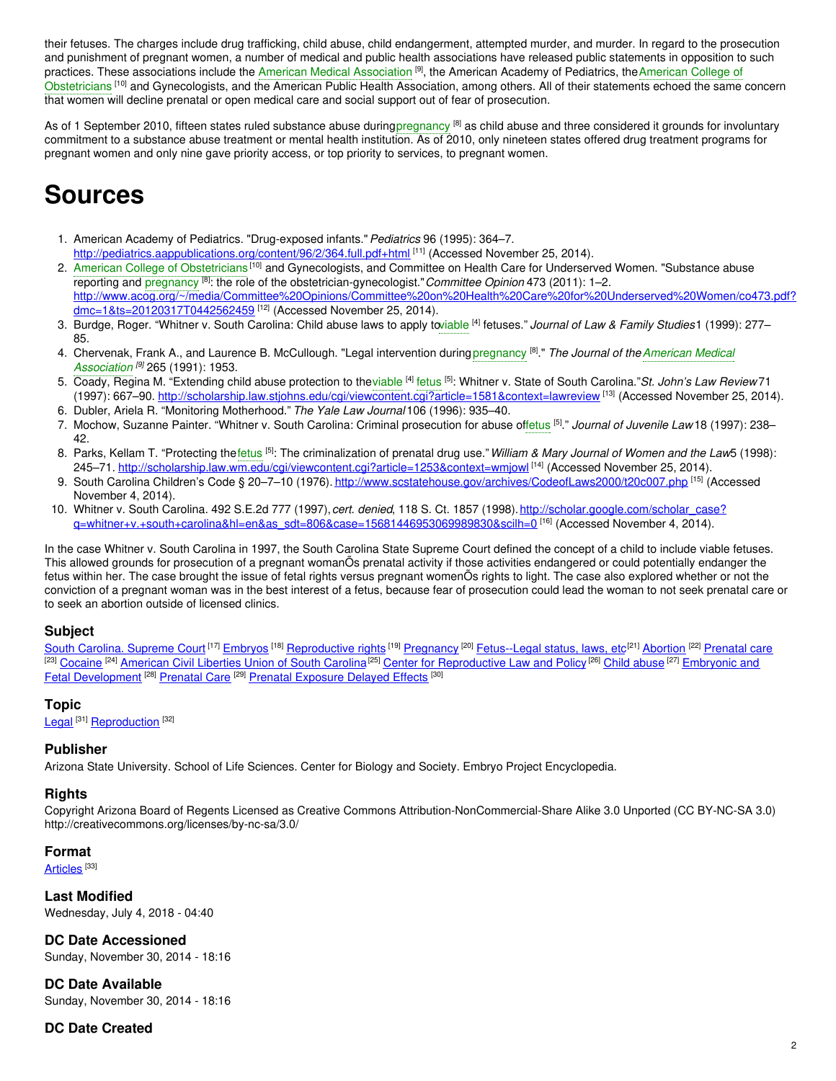their fetuses. The charges include drug trafficking, child abuse, child endangerment, attempted murder, and murder. In regard to the prosecution and punishment of pregnant women, a number of medical and public health associations have released public statements in opposition to such practices. These associations include the American Medical [Association](https://embryo.asu.edu/search?text=American%20Medical%20Association) <sup>[9]</sup>, the American Academy of Pediatrics, the American College of Obstetricians <sup>[10]</sup> and [Gynecologists,](https://embryo.asu.edu/search?text=American%20College%20of%20Obstetricians) and the American Public Health Association, among others. All of their statements echoed the same concern that women will decline prenatal or open medical care and social support out of fear of prosecution.

As of 1 September 2010, fifteen states ruled substance abuse during[pregnancy](https://embryo.asu.edu/search?text=pregnancy) <sup>[8]</sup> as child abuse and three considered it grounds for involuntary commitment to a substance abuse treatment or mental health institution. As of 2010, only nineteen states offered drug treatment programs for pregnant women and only nine gave priority access, or top priority to services, to pregnant women.

# **Sources**

- 1. American Academy of Pediatrics. "Drug-exposed infants."*Pediatrics* 96 (1995): 364–7. <http://pediatrics.aappublications.org/content/96/2/364.full.pdf+html> <sup>[11]</sup> (Accessed November 25, 2014).
- 2. American College of [Obstetricians](https://embryo.asu.edu/search?text=American%20College%20of%20Obstetricians)<sup>[10]</sup> and Gynecologists, and Committee on Health Care for Underserved Women. "Substance abuse reporting and [pregnancy](https://embryo.asu.edu/search?text=pregnancy) [8]: the role of the obstetrician-gynecologist."*Committee Opinion* 473 (2011): 1–2. [http://www.acog.org/~/media/Committee%20Opinions/Committee%20on%20Health%20Care%20for%20Underserved%20Women/co473.pdf?](http://www.acog.org/~/media/Committee%20Opinions/Committee%20on%20Health%20Care%20for%20Underserved%20Women/co473.pdf?dmc=1&ts=20120317T0442562459) dmc=1&ts=20120317T0442562459 [12] (Accessed November 25, 2014).
- 3. Burdge, Roger. "Whitner v. South Carolina: Child abuse laws to apply t[oviable](https://embryo.asu.edu/search?text=viable) [4] fetuses." *Journal of Law & Family Studies*1 (1999): 277– 85.
- 4. Chervenak, Frank A., and Laurence B. McCullough. "Legal intervention [duringpregnancy](https://embryo.asu.edu/search?text=American%20Medical%20Association) [8]." *The Journal of theAmerican Medical Association [9]* 265 (1991): 1953.
- 5. Coady, Regina M. "Extending child abuse protection to th[eviable](https://embryo.asu.edu/search?text=viable) [4] [fetus](https://embryo.asu.edu/search?text=fetus) [5]: Whitner v. State of South Carolina."*St. John's Law Review* 71 (1997): 667–90. <u><http://scholarship.law.stjohns.edu/cgi/viewcontent.cgi?article=1581&context=lawreview></u> <sup>[13]</sup> (Accessed November 25, 2014).
- 6. Dubler, Ariela R. "Monitoring Motherhood." *The Yale Law Journal* 106 (1996): 935–40.
- 7. Mochow, Suzanne Painter. "Whitner v. South Carolina: Criminal prosecution for abuse o[ffetus](https://embryo.asu.edu/search?text=fetus) [5]." *Journal of Juvenile Law* 18 (1997): 238– 42.
- 8. Parks, Kellam T. "Protecting th[efetus](https://embryo.asu.edu/search?text=fetus) [5]: The criminalization of prenatal drug use."*William & Mary Journal of Women and the Law*5 (1998): 245–71. <u><http://scholarship.law.wm.edu/cgi/viewcontent.cgi?article=1253&context=wmjowl></u> <sup>[14]</sup> (Accessed November 25, 2014).
- 9. South Carolina Children's Code § 20–7–10 (1976). <u><http://www.scstatehouse.gov/archives/CodeofLaws2000/t20c007.php></u> <sup>[15]</sup> (Accessed November 4, 2014).
- 10. Whitner v. South Carolina. 492 S.E.2d 777 (1997),*cert. denied*, 118 S. Ct. 1857 (1998).http://scholar.google.com/scholar\_case? [q=whitner+v.+south+carolina&hl=en&as\\_sdt=806&case=15681446953069989830&scilh=0](http://scholar.google.com/scholar_case?q=whitner+v.+south+carolina&hl=en&as_sdt=806&case=15681446953069989830&scilh=0) [16] (Accessed November 4, 2014).

In the case Whitner v. South Carolina in 1997, the South Carolina State Supreme Court defined the concept of a child to include viable fetuses. This allowed grounds for prosecution of a pregnant womanÕs prenatal activity if those activities endangered or could potentially endanger the fetus within her. The case brought the issue of fetal rights versus pregnant womenÕs rights to light. The case also explored whether or not the conviction of a pregnant woman was in the best interest of a fetus, because fear of prosecution could lead the woman to not seek prenatal care or to seek an abortion outside of licensed clinics.

### **Subject**

South Carolina. [Supreme](https://embryo.asu.edu/library-congress-subject-headings/south-carolina-supreme-court) Court<sup>[17]</sup> [Embryos](https://embryo.asu.edu/library-congress-subject-headings/embryos) <sup>[18]</sup> [Reproductive](https://embryo.asu.edu/library-congress-subject-headings/reproductive-rights) rights <sup>[19]</sup> [Pregnancy](https://embryo.asu.edu/library-congress-subject-headings/pregnancy) <sup>[20]</sup> [Fetus--Legal](https://embryo.asu.edu/library-congress-subject-headings/fetus-legal-status-laws-etc) status, laws, etc<sup>[21]</sup> [Abortion](https://embryo.asu.edu/library-congress-subject-headings/abortion) <sup>[22]</sup> [Prenatal](https://embryo.asu.edu/library-congress-subject-headings/prenatal-care) care <sup>[23]</sup> [Cocaine](https://embryo.asu.edu/library-congress-subject-headings/cocaine) <sup>[24]</sup> [American](https://embryo.asu.edu/library-congress-subject-headings/american-civil-liberties-union-south-carolina) Civil Liberties Union of South Carolina<sup>[25]</sup> Center for [Reproductive](https://embryo.asu.edu/library-congress-subject-headings/center-reproductive-law-and-policy) Law and Policy <sup>[26]</sup> Child [abuse](https://embryo.asu.edu/library-congress-subject-headings/child-abuse) <sup>[27]</sup> Embryonic and Fetal [Development](https://embryo.asu.edu/medical-subject-headings/embryonic-and-fetal-development) <sup>[28]</sup> [Prenatal](https://embryo.asu.edu/medical-subject-headings/prenatal-care) Care <sup>[29]</sup> Prenatal [Exposure](https://embryo.asu.edu/medical-subject-headings/prenatal-exposure-delayed-effects) Delayed Effects <sup>[30]</sup>

### **Topic**

[Legal](https://embryo.asu.edu/topics/legal) <sup>[31]</sup> [Reproduction](https://embryo.asu.edu/topics/reproduction) <sup>[32]</sup>

### **Publisher**

Arizona State University. School of Life Sciences. Center for Biology and Society. Embryo Project Encyclopedia.

### **Rights**

Copyright Arizona Board of Regents Licensed as Creative Commons Attribution-NonCommercial-Share Alike 3.0 Unported (CC BY-NC-SA 3.0) http://creativecommons.org/licenses/by-nc-sa/3.0/

### **Format**

[Articles](https://embryo.asu.edu/formats/articles)<sup>[33]</sup>

**Last Modified** Wednesday, July 4, 2018 - 04:40

**DC Date Accessioned** Sunday, November 30, 2014 - 18:16

**DC Date Available** Sunday, November 30, 2014 - 18:16

### **DC Date Created**